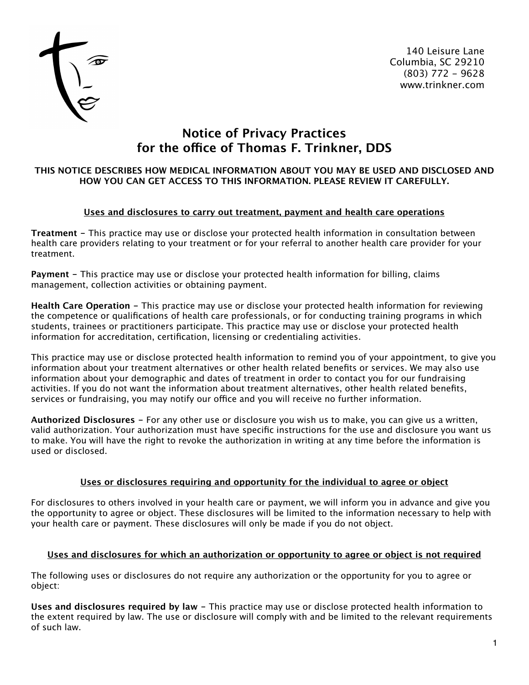

140 Leisure Lane Columbia, SC 29210 (803) 772 - 9628 www.trinkner.com

# **Notice of Privacy Practices for the ofce of Thomas F. Trinkner, DDS**

## **THIS NOTICE DESCRIBES HOW MEDICAL INFORMATION ABOUT YOU MAY BE USED AND DISCLOSED AND HOW YOU CAN GET ACCESS TO THIS INFORMATION. PLEASE REVIEW IT CAREFULLY.**

# **Uses and disclosures to carry out treatment, payment and health care operations**

**Treatment -** This practice may use or disclose your protected health information in consultation between health care providers relating to your treatment or for your referral to another health care provider for your treatment.

**Payment -** This practice may use or disclose your protected health information for billing, claims management, collection activities or obtaining payment.

**Health Care Operation -** This practice may use or disclose your protected health information for reviewing the competence or qualifications of health care professionals, or for conducting training programs in which students, trainees or practitioners participate. This practice may use or disclose your protected health information for accreditation, certification, licensing or credentialing activities.

This practice may use or disclose protected health information to remind you of your appointment, to give you information about your treatment alternatives or other health related benefits or services. We may also use information about your demographic and dates of treatment in order to contact you for our fundraising activities. If you do not want the information about treatment alternatives, other health related benefits, services or fundraising, you may notify our office and you will receive no further information.

**Authorized Disclosures -** For any other use or disclosure you wish us to make, you can give us a written, valid authorization. Your authorization must have specific instructions for the use and disclosure you want us to make. You will have the right to revoke the authorization in writing at any time before the information is used or disclosed.

# **Uses or disclosures requiring and opportunity for the individual to agree or object**

For disclosures to others involved in your health care or payment, we will inform you in advance and give you the opportunity to agree or object. These disclosures will be limited to the information necessary to help with your health care or payment. These disclosures will only be made if you do not object.

# **Uses and disclosures for which an authorization or opportunity to agree or object is not required**

The following uses or disclosures do not require any authorization or the opportunity for you to agree or object:

**Uses and disclosures required by law -** This practice may use or disclose protected health information to the extent required by law. The use or disclosure will comply with and be limited to the relevant requirements of such law.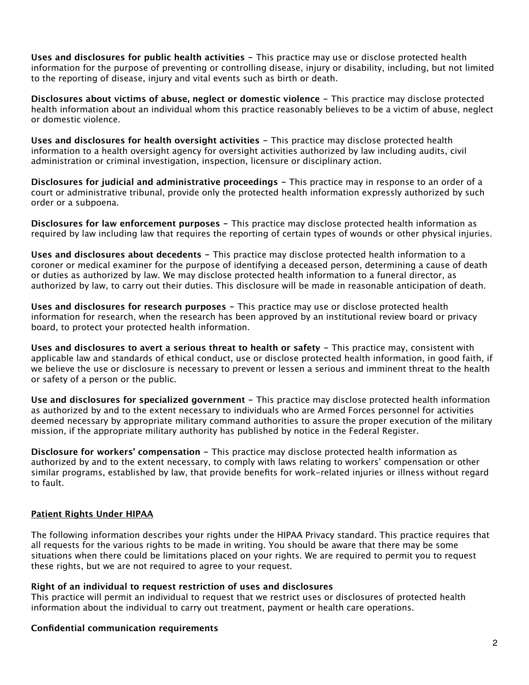**Uses and disclosures for public health activities -** This practice may use or disclose protected health information for the purpose of preventing or controlling disease, injury or disability, including, but not limited to the reporting of disease, injury and vital events such as birth or death.

**Disclosures about victims of abuse, neglect or domestic violence -** This practice may disclose protected health information about an individual whom this practice reasonably believes to be a victim of abuse, neglect or domestic violence.

**Uses and disclosures for health oversight activities -** This practice may disclose protected health information to a health oversight agency for oversight activities authorized by law including audits, civil administration or criminal investigation, inspection, licensure or disciplinary action.

**Disclosures for judicial and administrative proceedings -** This practice may in response to an order of a court or administrative tribunal, provide only the protected health information expressly authorized by such order or a subpoena.

**Disclosures for law enforcement purposes -** This practice may disclose protected health information as required by law including law that requires the reporting of certain types of wounds or other physical injuries.

**Uses and disclosures about decedents -** This practice may disclose protected health information to a coroner or medical examiner for the purpose of identifying a deceased person, determining a cause of death or duties as authorized by law. We may disclose protected health information to a funeral director, as authorized by law, to carry out their duties. This disclosure will be made in reasonable anticipation of death.

**Uses and disclosures for research purposes -** This practice may use or disclose protected health information for research, when the research has been approved by an institutional review board or privacy board, to protect your protected health information.

**Uses and disclosures to avert a serious threat to health or safety -** This practice may, consistent with applicable law and standards of ethical conduct, use or disclose protected health information, in good faith, if we believe the use or disclosure is necessary to prevent or lessen a serious and imminent threat to the health or safety of a person or the public.

**Use and disclosures for specialized government -** This practice may disclose protected health information as authorized by and to the extent necessary to individuals who are Armed Forces personnel for activities deemed necessary by appropriate military command authorities to assure the proper execution of the military mission, if the appropriate military authority has published by notice in the Federal Register.

**Disclosure for workers' compensation -** This practice may disclose protected health information as authorized by and to the extent necessary, to comply with laws relating to workers' compensation or other similar programs, established by law, that provide benefits for work-related injuries or illness without regard to fault.

# **Patient Rights Under HIPAA**

The following information describes your rights under the HIPAA Privacy standard. This practice requires that all requests for the various rights to be made in writing. You should be aware that there may be some situations when there could be limitations placed on your rights. We are required to permit you to request these rights, but we are not required to agree to your request.

## **Right of an individual to request restriction of uses and disclosures**

This practice will permit an individual to request that we restrict uses or disclosures of protected health information about the individual to carry out treatment, payment or health care operations.

## **Confidential communication requirements**